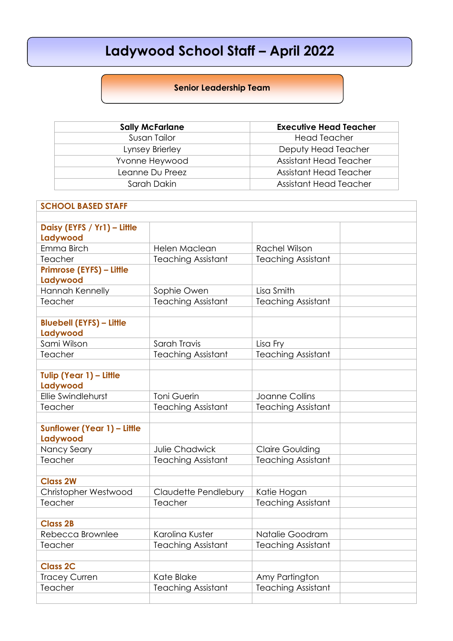## **Ladywood School Staff – April 2022**

## **Senior Leadership Team**

| <b>Sally McFarlane</b> | <b>Executive Head Teacher</b> |
|------------------------|-------------------------------|
| Susan Tailor           | <b>Head Teacher</b>           |
| Lynsey Brierley        | Deputy Head Teacher           |
| Yvonne Heywood         | Assistant Head Teacher        |
| Leanne Du Preez        | <b>Assistant Head Teacher</b> |
| Sarah Dakin            | Assistant Head Teacher        |

| <b>SCHOOL BASED STAFF</b>                   |                             |                           |  |  |
|---------------------------------------------|-----------------------------|---------------------------|--|--|
|                                             |                             |                           |  |  |
| Daisy (EYFS / Yr1) - Little                 |                             |                           |  |  |
| Ladywood                                    |                             |                           |  |  |
| Emma Birch                                  | Helen Maclean               | <b>Rachel Wilson</b>      |  |  |
| Teacher                                     | <b>Teaching Assistant</b>   | <b>Teaching Assistant</b> |  |  |
| Primrose (EYFS) - Little<br>Ladywood        |                             |                           |  |  |
| Hannah Kennelly                             | Sophie Owen                 | Lisa Smith                |  |  |
| Teacher                                     | <b>Teaching Assistant</b>   | <b>Teaching Assistant</b> |  |  |
|                                             |                             |                           |  |  |
| <b>Bluebell (EYFS) - Little</b><br>Ladywood |                             |                           |  |  |
| Sami Wilson                                 | Sarah Travis                | Lisa Fry                  |  |  |
| Teacher                                     | <b>Teaching Assistant</b>   | <b>Teaching Assistant</b> |  |  |
|                                             |                             |                           |  |  |
| Tulip (Year 1) - Little<br>Ladywood         |                             |                           |  |  |
| Ellie Swindlehurst                          | Toni Guerin                 | Joanne Collins            |  |  |
| Teacher                                     | <b>Teaching Assistant</b>   | <b>Teaching Assistant</b> |  |  |
|                                             |                             |                           |  |  |
| Sunflower (Year 1) - Little<br>Ladywood     |                             |                           |  |  |
| Nancy Seary                                 | Julie Chadwick              | <b>Claire Goulding</b>    |  |  |
| Teacher                                     | <b>Teaching Assistant</b>   | <b>Teaching Assistant</b> |  |  |
|                                             |                             |                           |  |  |
| <b>Class 2W</b>                             |                             |                           |  |  |
| Christopher Westwood                        | <b>Claudette Pendlebury</b> | Katie Hogan               |  |  |
| Teacher                                     | Teacher                     | <b>Teaching Assistant</b> |  |  |
| <b>Class 2B</b>                             |                             |                           |  |  |
|                                             |                             |                           |  |  |
| Rebecca Brownlee                            | Karolina Kuster             | Natalie Goodram           |  |  |
| Teacher                                     | <b>Teaching Assistant</b>   | <b>Teaching Assistant</b> |  |  |
| <b>Class 2C</b>                             |                             |                           |  |  |
| <b>Tracey Curren</b>                        | Kate Blake                  | Amy Partington            |  |  |
| Teacher                                     | <b>Teaching Assistant</b>   | <b>Teaching Assistant</b> |  |  |
|                                             |                             |                           |  |  |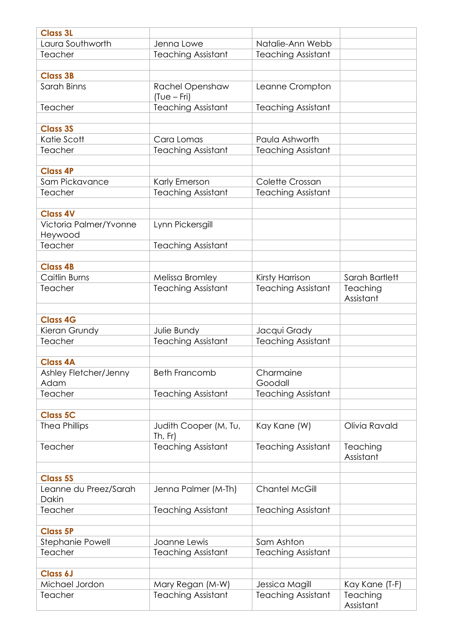| <b>Class 3L</b>                   |                                  |                           |                       |
|-----------------------------------|----------------------------------|---------------------------|-----------------------|
| Laura Southworth                  | Jenna Lowe                       | Natalie-Ann Webb          |                       |
| Teacher                           | <b>Teaching Assistant</b>        | <b>Teaching Assistant</b> |                       |
|                                   |                                  |                           |                       |
| <b>Class 3B</b>                   |                                  |                           |                       |
| Sarah Binns                       | Rachel Openshaw<br>$(Tue-Fri)$   | Leanne Crompton           |                       |
| Teacher                           | <b>Teaching Assistant</b>        | <b>Teaching Assistant</b> |                       |
|                                   |                                  |                           |                       |
| <b>Class 3S</b>                   |                                  |                           |                       |
| Katie Scott                       | Cara Lomas                       | Paula Ashworth            |                       |
| Teacher                           | <b>Teaching Assistant</b>        | <b>Teaching Assistant</b> |                       |
|                                   |                                  |                           |                       |
| <b>Class 4P</b>                   |                                  |                           |                       |
| Sam Pickavance                    | Karly Emerson                    | Colette Crossan           |                       |
| Teacher                           | <b>Teaching Assistant</b>        | <b>Teaching Assistant</b> |                       |
|                                   |                                  |                           |                       |
| <b>Class 4V</b>                   |                                  |                           |                       |
| Victoria Palmer/Yvonne<br>Heywood | Lynn Pickersgill                 |                           |                       |
| Teacher                           | <b>Teaching Assistant</b>        |                           |                       |
|                                   |                                  |                           |                       |
| <b>Class 4B</b>                   |                                  |                           |                       |
| Caitlin Burns                     | Melissa Bromley                  | Kirsty Harrison           | Sarah Bartlett        |
| Teacher                           | <b>Teaching Assistant</b>        | <b>Teaching Assistant</b> | Teaching              |
|                                   |                                  |                           | Assistant             |
|                                   |                                  |                           |                       |
| <b>Class 4G</b>                   |                                  |                           |                       |
| Kieran Grundy                     | Julie Bundy                      | Jacqui Grady              |                       |
| Teacher                           | <b>Teaching Assistant</b>        | <b>Teaching Assistant</b> |                       |
| <b>Class 4A</b>                   |                                  |                           |                       |
| Ashley Fletcher/Jenny             | <b>Beth Francomb</b>             | Charmaine                 |                       |
| Adam                              |                                  | Goodall                   |                       |
| Teacher                           | <b>Teaching Assistant</b>        | <b>Teaching Assistant</b> |                       |
|                                   |                                  |                           |                       |
| <b>Class 5C</b>                   |                                  |                           |                       |
| <b>Thea Phillips</b>              | Judith Cooper (M, Tu,<br>Th, Fr) | Kay Kane (W)              | Olivia Ravald         |
| Teacher                           | <b>Teaching Assistant</b>        | <b>Teaching Assistant</b> | Teaching              |
|                                   |                                  |                           | Assistant             |
|                                   |                                  |                           |                       |
| <b>Class 5S</b>                   |                                  |                           |                       |
| Leanne du Preez/Sarah<br>Dakin    | Jenna Palmer (M-Th)              | Chantel McGill            |                       |
| Teacher                           | <b>Teaching Assistant</b>        | <b>Teaching Assistant</b> |                       |
|                                   |                                  |                           |                       |
| <b>Class 5P</b>                   |                                  |                           |                       |
| <b>Stephanie Powell</b>           | Joanne Lewis                     | Sam Ashton                |                       |
| Teacher                           | <b>Teaching Assistant</b>        | <b>Teaching Assistant</b> |                       |
|                                   |                                  |                           |                       |
| <b>Class 6J</b>                   |                                  |                           |                       |
| Michael Jordon                    | Mary Regan (M-W)                 | Jessica Magill            | Kay Kane (T-F)        |
| Teacher                           | <b>Teaching Assistant</b>        | <b>Teaching Assistant</b> | Teaching<br>Assistant |